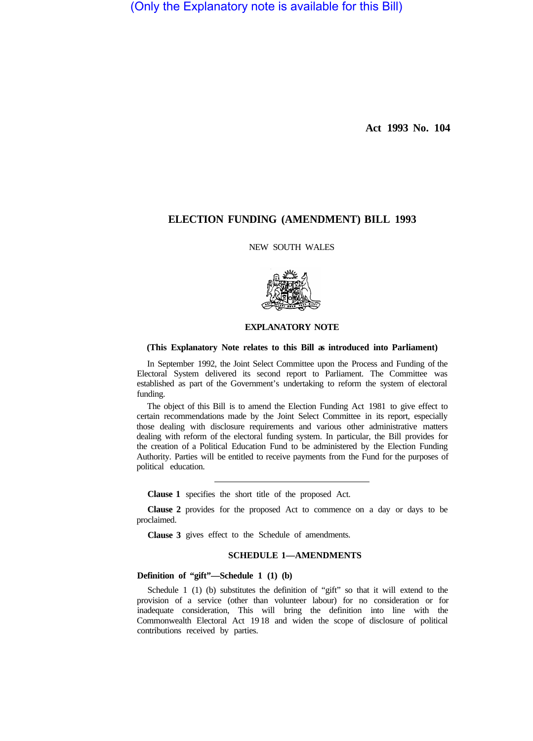(Only the Explanatory note is available for this Bill)

**Act 1993 No. 104** 

# **ELECTION FUNDING (AMENDMENT) BILL 1993**

NEW SOUTH WALES



## **EXPLANATORY NOTE**

### **(This Explanatory Note relates to this Bill as introduced into Parliament)**

In September 1992, the Joint Select Committee upon the Process and Funding of the Electoral System delivered its second report to Parliament. The Committee was established as part of the Government's undertaking to reform the system of electoral funding.

The object of this Bill is to amend the Election Funding Act 1981 to give effect to certain recommendations made by the Joint Select Committee in its report, especially those dealing with disclosure requirements and various other administrative matters dealing with reform of the electoral funding system. In particular, the Bill provides for the creation of a Political Education Fund to be administered by the Election Funding Authority. Parties will be entitled to receive payments from the Fund for the purposes of political education.

**Clause 1**  specifies the short title of the proposed Act.

**Clause 2**  provides for the proposed Act to commence on a day or days to be proclaimed.

**Clause 3**  gives effect to the Schedule of amendments.

# **SCHEDULE 1—AMENDMENTS**

# **Definition of "gift"—Schedule 1 (1) (b)**

Schedule 1 (1) (b) substitutes the definition of "gift" so that it will extend to the provision of a service (other than volunteer labour) for no consideration or for inadequate consideration, This will bring the definition into line with the Commonwealth Electoral Act 19 18 and widen the scope of disclosure of political contributions received by parties.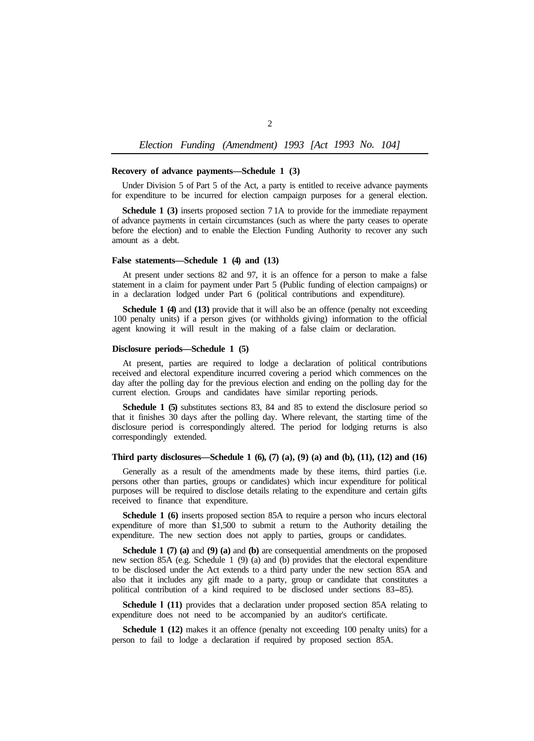## *Election Funding (Amendment) 1993 [Act 1993 No. 104]*

#### **Recovery of advance payments—Schedule 1 (3)**

Under Division 5 of Part 5 of the Act, a party is entitled to receive advance payments for expenditure to be incurred for election campaign purposes for a general election.

**Schedule 1 (3)** inserts proposed section 7 1A to provide for the immediate repayment of advance payments in certain circumstances (such as where the party ceases to operate before the election) and to enable the Election Funding Authority to recover any such amount as a debt.

#### **False statements—Schedule 1 (4) and (13)**

At present under sections 82 and 97, it is an offence for a person to make a false statement in a claim for payment under Part 5 (Public funding of election campaigns) or in a declaration lodged under Part 6 (political contributions and expenditure).

**Schedule 1 (4) and (13) provide that it will also be an offence (penalty not exceeding** 100 penalty units) if a person gives (or withholds giving) information to the official agent knowing it will result in the making of a false claim or declaration.

#### **Disclosure periods—Schedule 1 (5)**

At present, parties are required to lodge a declaration of political contributions received and electoral expenditure incurred covering a period which commences on the day after the polling day for the previous election and ending on the polling day for the current election. Groups and candidates have similar reporting periods.

**Schedule 1 (5)** substitutes sections 83, 84 and 85 to extend the disclosure period so that it finishes 30 days after the polling day. Where relevant, the starting time of the disclosure period is correspondingly altered. The period for lodging returns is also correspondingly extended.

# **Third party disclosures—Schedule 1 (6), (7) (a), (9) (a) and (b), (11), (12) and (16)**

Generally as a result of the amendments made by these items, third parties (i.e. persons other than parties, groups or candidates) which incur expenditure for political purposes will be required to disclose details relating to the expenditure and certain gifts received to finance that expenditure.

**Schedule 1 (6)** inserts proposed section 85A to require a person who incurs electoral expenditure of more than \$1,500 to submit a return to the Authority detailing the expenditure. The new section does not apply to parties, groups or candidates.

**Schedule 1 (7) (a)** and **(9) (a)** and **(b)** are consequential amendments on the proposed new section 85A (e.g. Schedule 1 (9) (a) and (b) provides that the electoral expenditure to be disclosed under the Act extends to a third party under the new section 85A and also that it includes any gift made to a party, group or candidate that constitutes a political contribution of a kind required to be disclosed under sections 83-85).

**Schedule l (11)** provides that a declaration under proposed section 85A relating to expenditure does not need to be accompanied by an auditor's certificate.

**Schedule 1 (12)** makes it an offence (penalty not exceeding 100 penalty units) for a person to fail to lodge a declaration if required by proposed section 85A.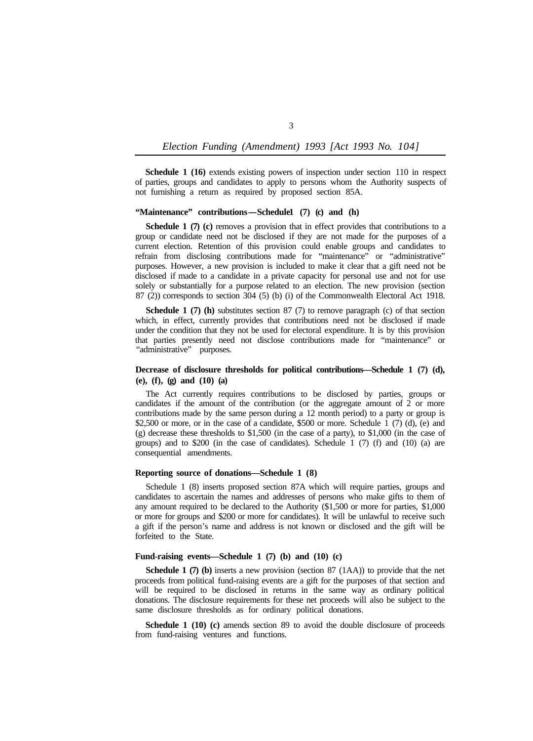# *Election Funding (Amendment) 1993 [Act 1993 No. 104]*

**Schedule 1 (16)** extends existing powers of inspection under section 110 in respect of parties, groups and candidates to apply to persons whom the Authority suspects of not furnishing a return as required by proposed section 85A.

### "Maintenance" contributions-Schedule1 (7) (c) and (h)

**Schedule 1 (7) (c)** removes a provision that in effect provides that contributions to a group or candidate need not be disclosed if they are not made for the purposes of a current election. Retention of this provision could enable groups and candidates to refrain from disclosing contributions made for "maintenance" or "administrative" purposes. However, a new provision is included to make it clear that a gift need not be disclosed if made to a candidate in a private capacity for personal use and not for use solely or substantially for a purpose related to an election. The new provision (section 87 (2)) corresponds to section 304 (5) (b) (i) of the Commonwealth Electoral Act 1918.

**Schedule 1 (7) (h)** substitutes section 87 (7) to remove paragraph (c) of that section which, in effect, currently provides that contributions need not be disclosed if made under the condition that they not be used for electoral expenditure. It is by this provision that parties presently need not disclose contributions made for "maintenance" or "administrative" purposes.

# **Decrease of disclosure thresholds for political contributions—Schedule 1 (7) (d), (e), (f), (g) and (10) (a)**

The Act currently requires contributions to be disclosed by parties, groups or candidates if the amount of the contribution (or the aggregate amount of 2 or more contributions made by the same person during a 12 month period) to a party or group is \$2,500 or more, or in the case of a candidate, \$500 or more. Schedule 1 (7) (d), (e) and (g) decrease these thresholds to \$1,500 (in the case of a party), to \$1,000 (in the case of groups) and to \$200 (in the case of candidates). Schedule 1 (7) (f) and (10) (a) are consequential amendments.

## **Reporting source of donations—Schedule 1 (8)**

Schedule 1 (8) inserts proposed section 87A which will require parties, groups and candidates to ascertain the names and addresses of persons who make gifts to them of any amount required to be declared to the Authority (\$1,500 or more for parties, \$1,000 or more for groups and \$200 or more for candidates). It will be unlawful to receive such a gift if the person's name and address is not known or disclosed and the gift will be forfeited to the State.

### **Fund-raising events—Schedule 1 (7) (b) and (10) (c)**

**Schedule 1 (7) (b)** inserts a new provision (section 87 (1AA)) to provide that the net proceeds from political fund-raising events are a gift for the purposes of that section and will be required to be disclosed in returns in the same way as ordinary political donations. The disclosure requirements for these net proceeds will also be subject to the same disclosure thresholds as for ordinary political donations.

**Schedule 1 (10) (c)** amends section 89 to avoid the double disclosure of proceeds from fund-raising ventures and functions.